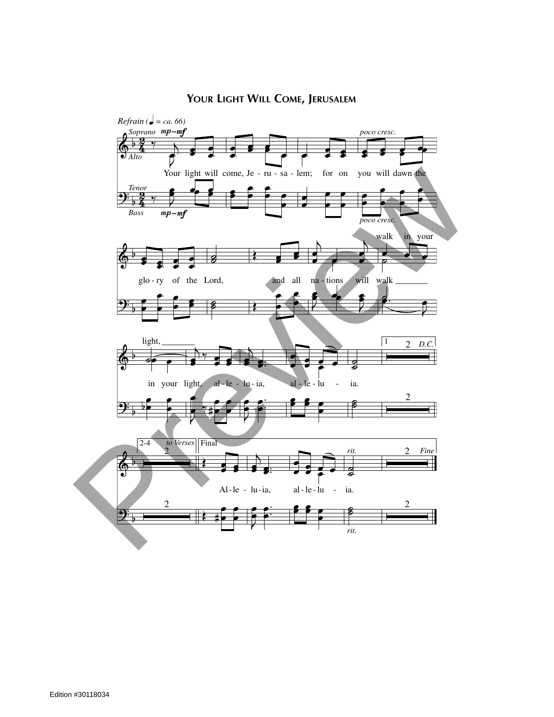## **YOUR LIGHT WILL COME, JERUSALEM**